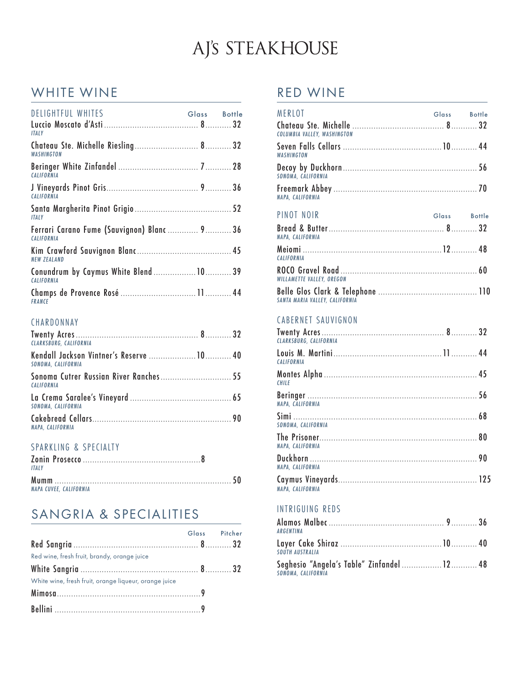# AJ'S STEAKHOUSE

## WHITE WINE

| <b>DELIGHTFUL WHITES</b>                                         | Glass Bottle |  |
|------------------------------------------------------------------|--------------|--|
| <b>ITALY</b>                                                     |              |  |
| <b>WASHINGTON</b>                                                |              |  |
| <b>CALIFORNIA</b>                                                |              |  |
| <b>CALIFORNIA</b>                                                |              |  |
| <b>ITALY</b>                                                     |              |  |
| Ferrari Carano Fume (Sauvignon) Blanc  9 36<br><b>CALIFORNIA</b> |              |  |
| <b>NEW ZEALAND</b>                                               |              |  |
| Conundrum by Caymus White Blend  10 39<br><b>CALIFORNIA</b>      |              |  |
| <b>FRANCE</b>                                                    |              |  |

## CHARDONNAY

| CLARKSBURG, CALIFORNIA                               |  |
|------------------------------------------------------|--|
| SONOMA, CALIFORNIA                                   |  |
| Sonoma Cutrer Russian River Ranches 55<br>CALIFORNIA |  |
| SONOMA, CALIFORNIA                                   |  |
| NAPA, CALIFORNIA                                     |  |

### SPARKLING & SPECIALTY

| <b>ITAIY</b>           |  |
|------------------------|--|
| NAPA CUVEE, CALIFORNIA |  |

### SANGRIA & SPECIALITIES

|                                                       | Glass Pitcher |
|-------------------------------------------------------|---------------|
|                                                       |               |
| Red wine, fresh fruit, brandy, orange juice           |               |
|                                                       |               |
| White wine, fresh fruit, orange liqueur, orange juice |               |
|                                                       |               |
|                                                       |               |

### RED WINE

| MERLOT<br>COLUMBIA VALLEY, WASHINGTON | Glass Bottle |
|---------------------------------------|--------------|
| WASHINGTON                            |              |
| SONOMA, CALIFORNIA                    |              |
| NAPA, CALIFORNIA                      |              |
|                                       |              |
| PINOT NOIR                            | Glass Bottle |
| NAPA, CALIFORNIA                      |              |
| <b>CALIFORNIA</b>                     |              |
| <b>WILLAMETTE VALLEY, OREGON</b>      |              |

### CABERNET SAUVIGNON

| <b>CALIFORNIA</b>  |  |
|--------------------|--|
| <b>CHILE</b>       |  |
| NAPA, CALIFORNIA   |  |
| SONOMA, CALIFORNIA |  |
| NAPA, CALIFORNIA   |  |
| NAPA, CALIFORNIA   |  |
| NAPA, CALIFORNIA   |  |

### INTRIGUING REDS

| ARGENTINA                                                        |  |
|------------------------------------------------------------------|--|
| SOUTH AUSTRALIA                                                  |  |
| Seghesio "Angela's Table" Zinfandel  12 48<br>SONOMA, CALIFORNIA |  |